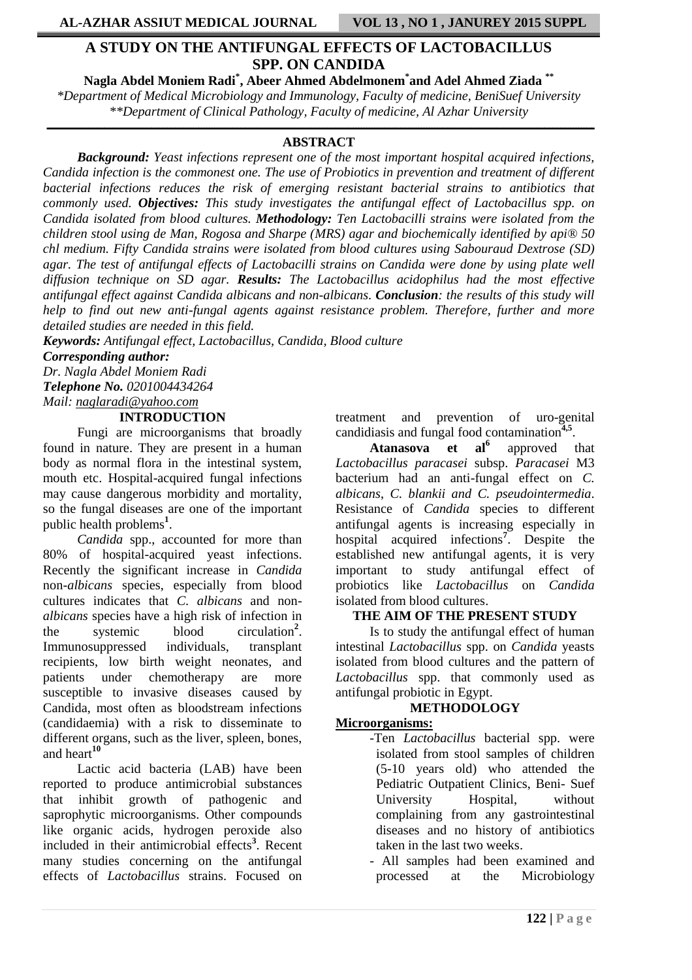# **A STUDY ON THE ANTIFUNGAL EFFECTS OF LACTOBACILLUS SPP. ON CANDIDA**

**Nagla Abdel Moniem Radi\* , Abeer Ahmed Abdelmonem\* and Adel Ahmed Ziada \*\*** *\*Department of Medical Microbiology and Immunology, Faculty of medicine, BeniSuef University \*\*Department of Clinical Pathology, Faculty of medicine, Al Azhar University*

### **ـــــــــــــــــــــــــــــــــــــــــــــــــــــــــــــــــــــــــــــــــــــــــــــــــــــــــــــــــــــــــــــــــــــــــــــــــــــــــــــــــــــــــــــــــــــــــــــــــــــــــــــــــ ABSTRACT**

*Background: Yeast infections represent one of the most important hospital acquired infections, Candida infection is the commonest one. The use of Probiotics in prevention and treatment of different bacterial infections reduces the risk of emerging resistant bacterial strains to antibiotics that commonly used. Objectives: This study investigates the antifungal effect of Lactobacillus spp. on Candida isolated from blood cultures. Methodology: Ten Lactobacilli strains were isolated from the children stool using de Man, Rogosa and Sharpe (MRS) agar and biochemically identified by api® 50 chl medium. Fifty Candida strains were isolated from blood cultures using Sabouraud Dextrose (SD) agar. The test of antifungal effects of Lactobacilli strains on Candida were done by using plate well diffusion technique on SD agar. Results: The Lactobacillus acidophilus had the most effective antifungal effect against Candida albicans and non-albicans. Conclusion: the results of this study will help to find out new anti-fungal agents against resistance problem. Therefore, further and more detailed studies are needed in this field.*

*Keywords: Antifungal effect, Lactobacillus, Candida, Blood culture*

*Corresponding author:*

*Dr. Nagla Abdel Moniem Radi Telephone No. 0201004434264 Mail: [naglaradi@yahoo.com](mailto:naglaradi@yahoo.com)*

#### **INTRODUCTION**

Fungi are microorganisms that broadly found in nature. They are present in a human body as normal flora in the intestinal system, mouth etc. Hospital-acquired fungal infections may cause dangerous morbidity and mortality, so the fungal diseases are one of the important public health problems**<sup>1</sup>** .

*Candida* spp., accounted for more than 80% of hospital-acquired yeast infections. Recently the significant increase in *Candida*  non-*albicans* species, especially from blood cultures indicates that *C. albicans* and non*albicans* species have a high risk of infection in the systemic blood circulation**<sup>2</sup>** . Immunosuppressed individuals, transplant recipients, low birth weight neonates, and patients under chemotherapy are more susceptible to invasive diseases caused by Candida, most often as bloodstream infections (candidaemia) with a risk to disseminate to different organs, such as the liver, spleen, bones, and heart**<sup>10</sup>**

Lactic acid bacteria (LAB) have been reported to produce antimicrobial substances that inhibit growth of pathogenic and saprophytic microorganisms. Other compounds like organic acids, hydrogen peroxide also included in their antimicrobial effects**<sup>3</sup>** . Recent many studies concerning on the antifungal effects of *Lactobacillus* strains. Focused on

treatment and prevention of uro-genital candidiasis and fungal food contamination **4,5** .

**Atanasova et al<sup>6</sup>** approved that *Lactobacillus paracasei* subsp. *Paracasei* M3 bacterium had an anti-fungal effect on *C. albicans*, *C. blankii and C. pseudointermedia*. Resistance of *Candida* species to different antifungal agents is increasing especially in hospital acquired infections**<sup>7</sup>** . Despite the established new antifungal agents, it is very important to study antifungal effect of probiotics like *Lactobacillus* on *Candida*  isolated from blood cultures.

#### **THE AIM OF THE PRESENT STUDY**

Is to study the antifungal effect of human intestinal *Lactobacillus* spp. on *Candida* yeasts isolated from blood cultures and the pattern of *Lactobacillus* spp. that commonly used as antifungal probiotic in Egypt.

# **METHODOLOGY**

#### **Microorganisms:**

- -Ten *Lactobacillus* bacterial spp. were isolated from stool samples of children (5-10 years old) who attended the Pediatric Outpatient Clinics, Beni- Suef University Hospital, without complaining from any gastrointestinal diseases and no history of antibiotics taken in the last two weeks.
	- All samples had been examined and processed at the Microbiology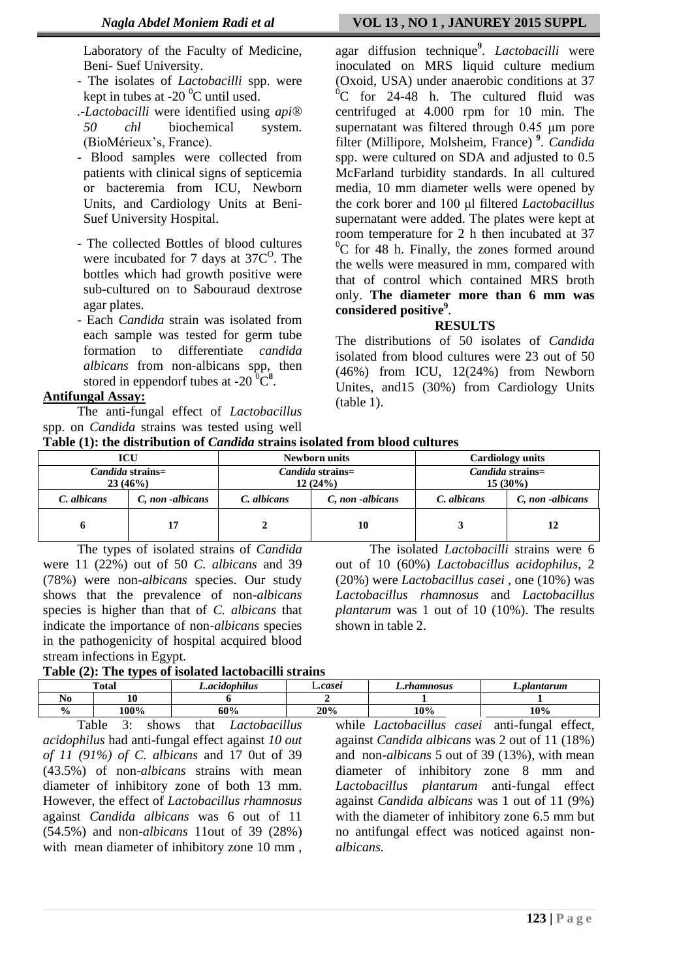Laboratory of the Faculty of Medicine, Beni- Suef University.

- The isolates of *Lactobacilli* spp. were kept in tubes at  $-20<sup>0</sup>C$  until used.
- *.-Lactobacilli* were identified using *api® 50 chl* biochemical system. (BioMérieux's, France).
- Blood samples were collected from patients with clinical signs of septicemia or bacteremia from ICU, Newborn Units, and Cardiology Units at Beni-Suef University Hospital.
- The collected Bottles of blood cultures were incubated for 7 days at  $37C^0$ . The bottles which had growth positive were sub-cultured on to Sabouraud dextrose agar plates.
- Each *Candida* strain was isolated from each sample was tested for germ tube formation to differentiate *candida albicans* from non-albicans spp, then stored in eppendorf tubes at  $-20\degree C^8$ .

# **Antifungal Assay:**

The anti-fungal effect of *Lactobacillus*  spp. on *Candida* strains was tested using well

### *Nagla Abdel Moniem Radi et al* **VOL 13 , NO 1 , JANUREY 2015 SUPPL**

agar diffusion technique**<sup>9</sup>** . *Lactobacilli* were inoculated on MRS liquid culture medium (Oxoid, USA) under anaerobic conditions at 37  ${}^{0}C$  for 24-48 h. The cultured fluid was centrifuged at 4.000 rpm for 10 min. The supernatant was filtered through 0.45 μm pore filter (Millipore, Molsheim, France) **9** . *Candida*  spp. were cultured on SDA and adjusted to 0.5 McFarland turbidity standards. In all cultured media, 10 mm diameter wells were opened by the cork borer and 100 μl filtered *Lactobacillus* supernatant were added. The plates were kept at room temperature for 2 h then incubated at 37  ${}^{0}C$  for 48 h. Finally, the zones formed around the wells were measured in mm, compared with that of control which contained MRS broth only. **The diameter more than 6 mm was considered positive<sup>9</sup>** .

### **RESULTS**

The distributions of 50 isolates of *Candida* isolated from blood cultures were 23 out of 50 (46%) from ICU, 12(24%) from Newborn Unites, and15 (30%) from Cardiology Units (table 1).

The isolated *Lactobacilli* strains were 6

out of 10 (60%) *Lactobacillus acidophilus*, 2 (20%) were *Lactobacillus casei* , one (10%) was *Lactobacillus rhamnosus* and *Lactobacillus plantarum* was 1 out of 10 (10%). The results

| Table (1): the distribution of <i>Candida</i> strains isolated from blood cultures |  |
|------------------------------------------------------------------------------------|--|
|------------------------------------------------------------------------------------|--|

|             | <b>ICU</b>                         |             | <b>Newborn units</b>               | <b>Cardiology units</b>               |                 |  |  |  |  |
|-------------|------------------------------------|-------------|------------------------------------|---------------------------------------|-----------------|--|--|--|--|
|             | <i>Candida</i> strains=<br>23(46%) |             | <i>Candida</i> strains=<br>12(24%) | <i>Candida</i> strains=<br>$15(30\%)$ |                 |  |  |  |  |
| C. albicans | C, non-albicans                    | C. albicans | C, non-albicans                    | C. albicans                           | C, non-albicans |  |  |  |  |
|             |                                    |             | 10                                 |                                       |                 |  |  |  |  |

The types of isolated strains of *Candida* were 11 (22%) out of 50 *C. albicans* and 39 (78%) were non-*albicans* species. Our study shows that the prevalence of non-*albicans* species is higher than that of *C. albicans* that indicate the importance of non-*albicans* species in the pathogenicity of hospital acquired blood stream infections in Egypt.

**Table (2): The types of isolated lactobacilli strains**

|                | <b>Total</b> | .<br>L.acidophilus | .casei              | .rhamnosus | L.plantarum |  |  |  |  |  |
|----------------|--------------|--------------------|---------------------|------------|-------------|--|--|--|--|--|
| n o<br>1 V U   | 10           |                    |                     |            |             |  |  |  |  |  |
| $\frac{6}{6}$  | 100%         | 60%                | 20%                 | $10\%$     | 10%         |  |  |  |  |  |
| <b>m</b><br>-1 |              | .71<br>. .         | $\bullet$ $\bullet$ | .11        | $\alpha$    |  |  |  |  |  |

shown in table 2.

Table 3: shows that *Lactobacillus acidophilus* had anti-fungal effect against *10 out of 11 (91%) of C. albicans* and 17 0ut of 39 (43.5%) of non-*albicans* strains with mean diameter of inhibitory zone of both 13 mm. However, the effect of *Lactobacillus rhamnosus* against *Candida albicans* was 6 out of 11 (54.5%) and non-*albicans* 11out of 39 (28%) with mean diameter of inhibitory zone 10 mm ,

while *Lactobacillus casei* anti-fungal effect, against *Candida albicans* was 2 out of 11 (18%) and non-*albicans* 5 out of 39 (13%), with mean diameter of inhibitory zone 8 mm and *Lactobacillus plantarum* anti-fungal effect against *Candida albicans* was 1 out of 11 (9%) with the diameter of inhibitory zone 6.5 mm but no antifungal effect was noticed against non*albicans.*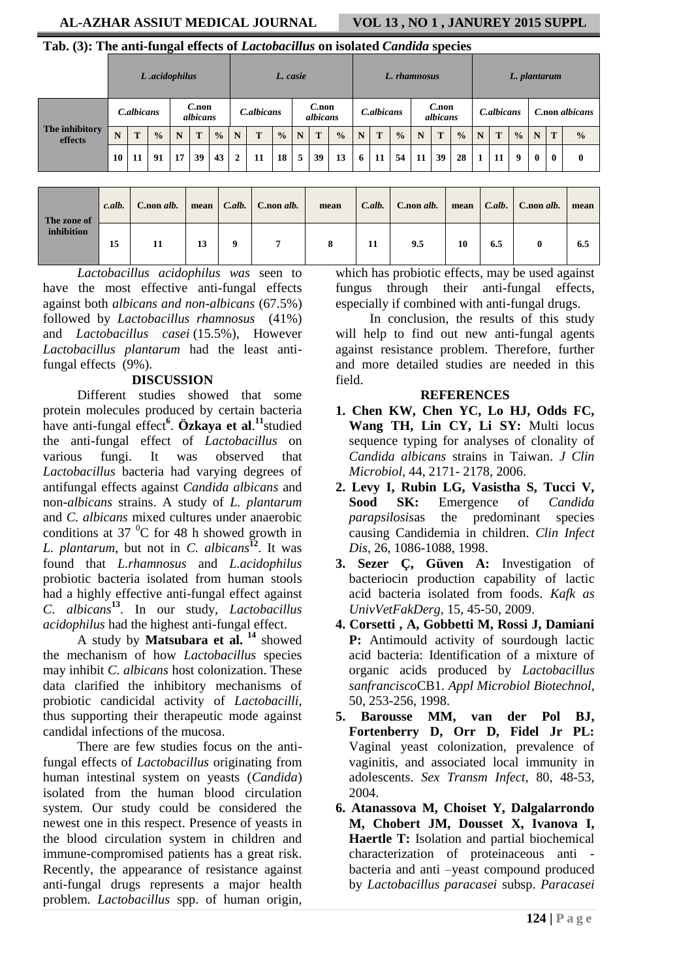# **AL-AZHAR ASSIUT MEDICAL JOURNAL VOL 13 , NO 1 , JANUREY 2015 SUPPL**

# **Tab. (3): The anti-fungal effects of** *Lactobacillus* **on isolated** *Candida* **species**

|                           | L.acidophilus |                                     |               |    |    | L. casie      |                |    |                      |             | L. rhamnosus |               |                      |    |               |            | L. plantarum |               |                |    |               |             |   |               |
|---------------------------|---------------|-------------------------------------|---------------|----|----|---------------|----------------|----|----------------------|-------------|--------------|---------------|----------------------|----|---------------|------------|--------------|---------------|----------------|----|---------------|-------------|---|---------------|
| The inhibitory<br>effects |               | $C$ , non<br>C.albicans<br>albicans |               |    |    | C.albicans    |                |    | $C$ .non<br>albicans |             | C.albicans   |               | $C$ .non<br>albicans |    |               | C.albicans |              |               | C.non albicans |    |               |             |   |               |
|                           | N             | T                                   | $\frac{0}{0}$ | N  | T  | $\frac{0}{0}$ | N              | T  | $\frac{0}{0}$        | N           | T            | $\frac{0}{0}$ | N                    | T  | $\frac{0}{0}$ | N          | T            | $\frac{0}{0}$ | N              | T  | $\frac{0}{0}$ | N           | T | $\frac{0}{0}$ |
|                           | 10            | 11                                  | 91            | 17 | 39 | 43            | $\overline{2}$ | 11 | 18                   | $5^{\circ}$ | 39           | 13            | 6                    | 11 | 54            | 11         | 39           | 28            | $\mathbf{1}$   | 11 | 9             | $\mathbf 0$ | 0 | $\mathbf{0}$  |
|                           |               |                                     |               |    |    |               |                |    |                      |             |              |               |                      |    |               |            |              |               |                |    |               |             |   |               |

| The zone of<br>inhibition | c.alb. | C.non alb. | mean |   | $C.$ alb. C.non alb. | mean | C.alb. | C.non alb. | mean | $\Box$ C.alb. | $\mid$ C.non <i>alb</i> . | mean |
|---------------------------|--------|------------|------|---|----------------------|------|--------|------------|------|---------------|---------------------------|------|
|                           | 15     | 11         | 13   | 9 |                      |      | 11     | 9.5        | 10   | 6.5           |                           | 6.5  |

*Lactobacillus acidophilus was* seen to have the most effective anti-fungal effects against both *albicans and non-albicans* (67.5%) followed by *Lactobacillus rhamnosus* (41%) and *Lactobacillus casei* (15.5%), However *Lactobacillus plantarum* had the least antifungal effects (9%).

# **DISCUSSION**

Different studies showed that some protein molecules produced by certain bacteria have anti-fungal effect**<sup>6</sup>** . **Özkaya et al**. **11** studied the anti-fungal effect of *Lactobacillus* on various fungi. It was observed that *Lactobacillus* bacteria had varying degrees of antifungal effects against *Candida albicans* and non-*albicans* strains. A study of *L. plantarum* and *C. albicans* mixed cultures under anaerobic conditions at 37 $^{0}$ C for 48 h showed growth in *L. plantarum*, but not in *C. albicans***<sup>12</sup>** . It was found that *L.rhamnosus* and *L.acidophilus* probiotic bacteria isolated from human stools had a highly effective anti-fungal effect against *C. albicans***<sup>13</sup>** . In our study, *Lactobacillus acidophilus* had the highest anti-fungal effect.

A study by **Matsubara et al. <sup>14</sup>** showed the mechanism of how *Lactobacillus* species may inhibit *C. albicans* host colonization. These data clarified the inhibitory mechanisms of probiotic candicidal activity of *Lactobacilli*, thus supporting their therapeutic mode against candidal infections of the mucosa.

There are few studies focus on the antifungal effects of *Lactobacillus* originating from human intestinal system on yeasts (*Candida*) isolated from the human blood circulation system. Our study could be considered the newest one in this respect. Presence of yeasts in the blood circulation system in children and immune-compromised patients has a great risk. Recently, the appearance of resistance against anti-fungal drugs represents a major health problem. *Lactobacillus* spp. of human origin,

which has probiotic effects, may be used against fungus through their anti-fungal effects, especially if combined with anti-fungal drugs.

In conclusion, the results of this study will help to find out new anti-fungal agents against resistance problem. Therefore, further and more detailed studies are needed in this field.

#### **REFERENCES**

- **1. Chen KW, Chen YC, Lo HJ, Odds FC, Wang TH, Lin CY, Li SY:** Multi locus sequence typing for analyses of clonality of *Candida albicans* strains in Taiwan. *J Clin Microbiol,* 44, 2171- 2178, 2006.
- **2. Levy I, Rubin LG, Vasistha S, Tucci V, Sood SK:** Emergence of *Candida parapsilosis*as the predominant species causing Candidemia in children. *Clin Infect Dis,* 26, 1086-1088, 1998.
- **3. Sezer Ç, Güven A:** Investigation of bacteriocin production capability of lactic acid bacteria isolated from foods. *Kafk as UnivVetFakDerg,* 15, 45-50, 2009.
- **4. Corsetti , A, Gobbetti M, Rossi J, Damiani P:** Antimould activity of sourdough lactic acid bacteria: Identification of a mixture of organic acids produced by *Lactobacillus sanfrancisco*CB1. *Appl Microbiol Biotechnol,*  50, 253-256, 1998.
- **5. Barousse MM, van der Pol BJ, Fortenberry D, Orr D, Fidel Jr PL:**  Vaginal yeast colonization, prevalence of vaginitis, and associated local immunity in adolescents. *Sex Transm Infect,* 80, 48-53, 2004.
- **6. Atanassova M, Choiset Y, Dalgalarrondo M, Chobert JM, Dousset X, Ivanova I, Haertle T:** Isolation and partial biochemical characterization of proteinaceous anti bacteria and anti –yeast compound produced by *Lactobacillus paracasei* subsp. *Paracasei*